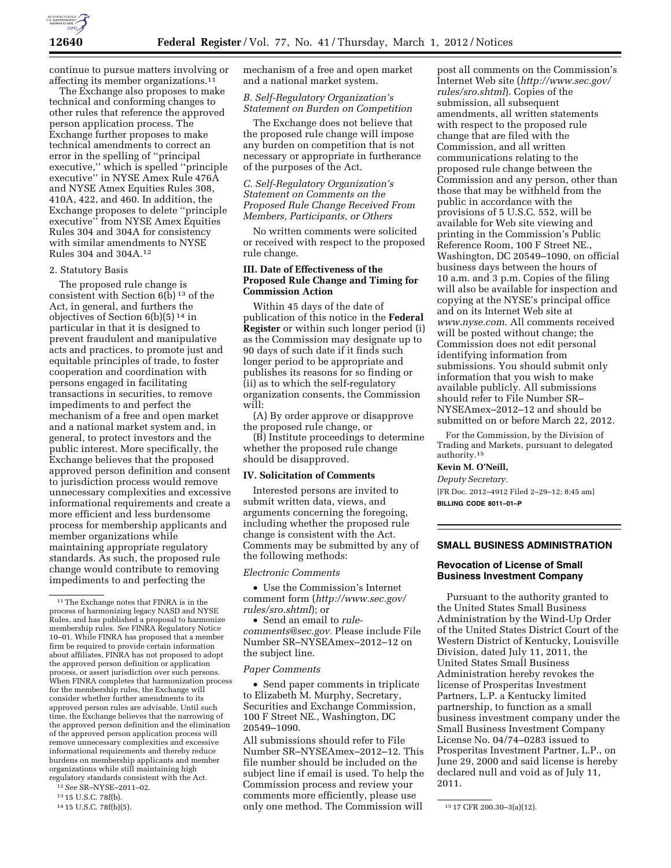

continue to pursue matters involving or affecting its member organizations.<sup>11</sup>

The Exchange also proposes to make technical and conforming changes to other rules that reference the approved person application process. The Exchange further proposes to make technical amendments to correct an error in the spelling of ''principal executive,'' which is spelled ''principle executive'' in NYSE Amex Rule 476A and NYSE Amex Equities Rules 308, 410A, 422, and 460. In addition, the Exchange proposes to delete ''principle executive'' from NYSE Amex Equities Rules 304 and 304A for consistency with similar amendments to NYSE Rules 304 and 304A.12

### 2. Statutory Basis

The proposed rule change is consistent with Section  $6(\bar{b})^{13}$  of the Act, in general, and furthers the objectives of Section 6(b)(5) 14 in particular in that it is designed to prevent fraudulent and manipulative acts and practices, to promote just and equitable principles of trade, to foster cooperation and coordination with persons engaged in facilitating transactions in securities, to remove impediments to and perfect the mechanism of a free and open market and a national market system and, in general, to protect investors and the public interest. More specifically, the Exchange believes that the proposed approved person definition and consent to jurisdiction process would remove unnecessary complexities and excessive informational requirements and create a more efficient and less burdensome process for membership applicants and member organizations while maintaining appropriate regulatory standards. As such, the proposed rule change would contribute to removing impediments to and perfecting the

12*See* SR–NYSE–2011–02.

mechanism of a free and open market and a national market system.

## *B. Self-Regulatory Organization's Statement on Burden on Competition*

The Exchange does not believe that the proposed rule change will impose any burden on competition that is not necessary or appropriate in furtherance of the purposes of the Act.

## *C. Self-Regulatory Organization's Statement on Comments on the Proposed Rule Change Received From Members, Participants, or Others*

No written comments were solicited or received with respect to the proposed rule change.

# **III. Date of Effectiveness of the Proposed Rule Change and Timing for Commission Action**

Within 45 days of the date of publication of this notice in the **Federal Register** or within such longer period (i) as the Commission may designate up to 90 days of such date if it finds such longer period to be appropriate and publishes its reasons for so finding or (ii) as to which the self-regulatory organization consents, the Commission will:

(A) By order approve or disapprove the proposed rule change, or

(B) Institute proceedings to determine whether the proposed rule change should be disapproved.

#### **IV. Solicitation of Comments**

Interested persons are invited to submit written data, views, and arguments concerning the foregoing, including whether the proposed rule change is consistent with the Act. Comments may be submitted by any of the following methods:

### *Electronic Comments*

• Use the Commission's Internet comment form (*[http://www.sec.gov/](http://www.sec.gov/rules/sro.shtml)  [rules/sro.shtml](http://www.sec.gov/rules/sro.shtml)*); or

• Send an email to *[rule](mailto:rule-comments@sec.gov)[comments@sec.gov.](mailto:rule-comments@sec.gov)* Please include File Number SR–NYSEAmex–2012–12 on the subject line.

#### *Paper Comments*

• Send paper comments in triplicate to Elizabeth M. Murphy, Secretary, Securities and Exchange Commission, 100 F Street NE., Washington, DC 20549–1090.

<sup>14</sup> 15 U.S.C. 78f(b)(5).  $\qquad \qquad \text{only one method. The Commission will} \qquad \qquad$  <sup>15</sup> 17 CFR 200.30–3(a)(12). All submissions should refer to File Number SR–NYSEAmex–2012–12. This file number should be included on the subject line if email is used. To help the Commission process and review your comments more efficiently, please use

post all comments on the Commission's Internet Web site (*[http://www.sec.gov/](http://www.sec.gov/rules/sro.shtml)  [rules/sro.shtml](http://www.sec.gov/rules/sro.shtml)*). Copies of the submission, all subsequent amendments, all written statements with respect to the proposed rule change that are filed with the Commission, and all written communications relating to the proposed rule change between the Commission and any person, other than those that may be withheld from the public in accordance with the provisions of 5 U.S.C. 552, will be available for Web site viewing and printing in the Commission's Public Reference Room, 100 F Street NE., Washington, DC 20549–1090, on official business days between the hours of 10 a.m. and 3 p.m. Copies of the filing will also be available for inspection and copying at the NYSE's principal office and on its Internet Web site at *[www.nyse.com.](http://www.nyse.com)* All comments received will be posted without change; the Commission does not edit personal identifying information from submissions. You should submit only information that you wish to make available publicly. All submissions should refer to File Number SR– NYSEAmex–2012–12 and should be submitted on or before March 22, 2012.

For the Commission, by the Division of Trading and Markets, pursuant to delegated authority.15

### **Kevin M. O'Neill,**

*Deputy Secretary.*  [FR Doc. 2012–4912 Filed 2–29–12; 8:45 am]

**BILLING CODE 8011–01–P** 

#### **SMALL BUSINESS ADMINISTRATION**

## **Revocation of License of Small Business Investment Company**

Pursuant to the authority granted to the United States Small Business Administration by the Wind-Up Order of the United States District Court of the Western District of Kentucky, Louisville Division, dated July 11, 2011, the United States Small Business Administration hereby revokes the license of Prosperitas Investment Partners, L.P. a Kentucky limited partnership, to function as a small business investment company under the Small Business Investment Company License No. 04/74–0283 issued to Prosperitas Investment Partner, L.P., on June 29, 2000 and said license is hereby declared null and void as of July 11, 2011.

<sup>&</sup>lt;sup>11</sup>The Exchange notes that FINRA is in the process of harmonizing legacy NASD and NYSE Rules, and has published a proposal to harmonize membership rules. *See* FINRA Regulatory Notice 10–01. While FINRA has proposed that a member firm be required to provide certain information about affiliates, FINRA has not proposed to adopt the approved person definition or application process, or assert jurisdiction over such persons. When FINRA completes that harmonization process for the membership rules, the Exchange will consider whether further amendments to its approved person rules are advisable. Until such time, the Exchange believes that the narrowing of the approved person definition and the elimination of the approved person application process will remove unnecessary complexities and excessive informational requirements and thereby reduce burdens on membership applicants and member organizations while still maintaining high regulatory standards consistent with the Act.

<sup>13 15</sup> U.S.C. 78f(b).<br>14 15 U.S.C. 78f(b)(5).